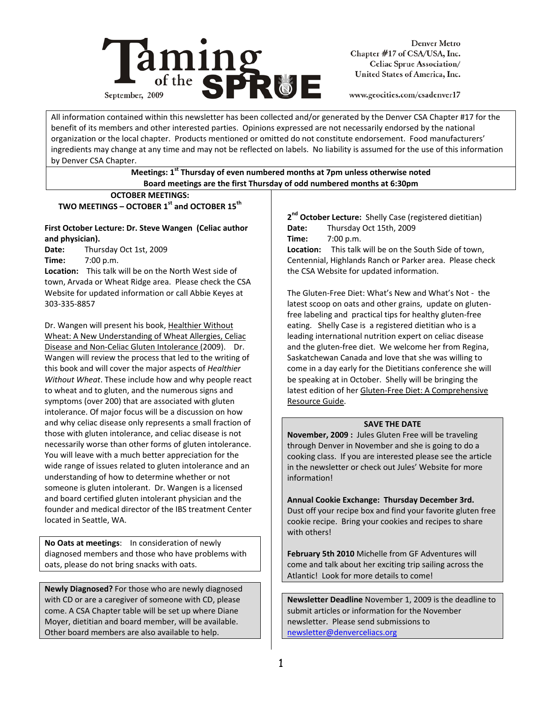

Denver Metro Chapter #17 of CSA/USA, Inc. Celiac Sprue Association/ United States of America, Inc.

www.geocities.com/csadenver17

All information contained within this newsletter has been collected and/or generated by the Denver CSA Chapter #17 for the benefit of its members and other interested parties. Opinions expressed are not necessarily endorsed by the national organization or the local chapter. Products mentioned or omitted do not constitute endorsement. Food manufacturers' ingredients may change at any time and may not be reflected on labels. No liability is assumed for the use of this information by Denver CSA Chapter.

# **Meetings: 1st Thursday of even numbered months at 7pm unless otherwise noted Board meetings are the first Thursday of odd numbered months at 6:30pm**

## **OCTOBER MEETINGS:**  TWO MEETINGS – OCTOBER 1<sup>st</sup> and OCTOBER 15<sup>th</sup>

# **First October Lecture: Dr. Steve Wangen (Celiac author and physician).**

**Date:** Thursday Oct 1st, 2009 **Time:** 7:00 p.m.

**Location:** This talk will be on the North West side of town, Arvada or Wheat Ridge area. Please check the CSA Website for updated information or call Abbie Keyes at 303‐335‐8857

Dr. Wangen will present his book, Healthier Without Wheat: A New Understanding of Wheat Allergies, Celiac Disease and Non‐Celiac Gluten Intolerance (2009). Dr. Wangen will review the process that led to the writing of this book and will cover the major aspects of *Healthier Without Wheat*. These include how and why people react to wheat and to gluten, and the numerous signs and symptoms (over 200) that are associated with gluten intolerance. Of major focus will be a discussion on how and why celiac disease only represents a small fraction of those with gluten intolerance, and celiac disease is not necessarily worse than other forms of gluten intolerance. You will leave with a much better appreciation for the wide range of issues related to gluten intolerance and an understanding of how to determine whether or not someone is gluten intolerant. Dr. Wangen is a licensed and board certified gluten intolerant physician and the founder and medical director of the IBS treatment Center located in Seattle, WA.

**No Oats at meetings**: In consideration of newly diagnosed members and those who have problems with oats, please do not bring snacks with oats.

**Newly Diagnosed?** For those who are newly diagnosed with CD or are a caregiver of someone with CD, please come. A CSA Chapter table will be set up where Diane Moyer, dietitian and board member, will be available. Other board members are also available to help.

**2nd October Lecture:** Shelly Case (registered dietitian) **Date:** Thursday Oct 15th, 2009 **Time:** 7:00 p.m. **Location:** This talk will be on the South Side of town, Centennial, Highlands Ranch or Parker area. Please check the CSA Website for updated information.

The Gluten‐Free Diet: What's New and What's Not ‐ the latest scoop on oats and other grains, update on gluten‐ free labeling and practical tips for healthy gluten‐free eating. Shelly Case is a registered dietitian who is a leading international nutrition expert on celiac disease and the gluten‐free diet. We welcome her from Regina, Saskatchewan Canada and love that she was willing to come in a day early for the Dietitians conference she will be speaking at in October. Shelly will be bringing the latest edition of her Gluten‐Free Diet: A Comprehensive Resource Guide.

# **SAVE THE DATE**

**November, 2009 :** Jules Gluten Free will be traveling through Denver in November and she is going to do a cooking class. If you are interested please see the article in the newsletter or check out Jules' Website for more information!

**Annual Cookie Exchange: Thursday December 3rd.**  Dust off your recipe box and find your favorite gluten free cookie recipe. Bring your cookies and recipes to share with others!

**February 5th 2010** Michelle from GF Adventures will come and talk about her exciting trip sailing across the Atlantic! Look for more details to come!

**Newsletter Deadline** November 1, 2009 is the deadline to submit articles or information for the November newsletter. Please send submissions to newsletter@denverceliacs.org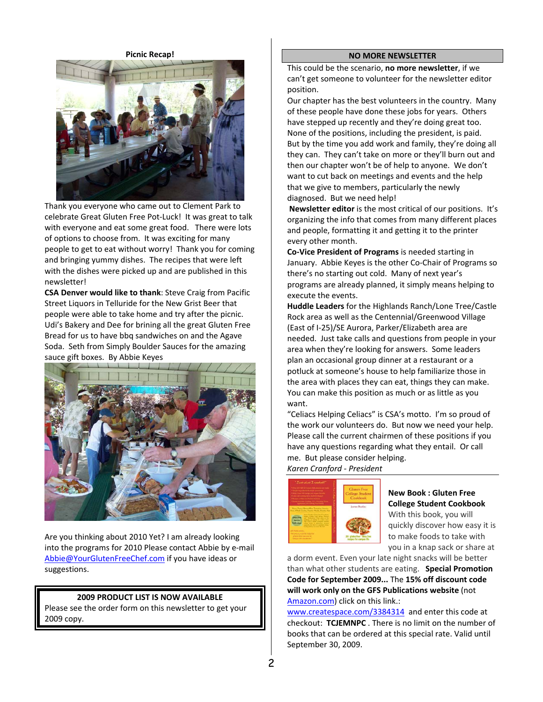**Picnic Recap!**



Thank you everyone who came out to Clement Park to celebrate Great Gluten Free Pot‐Luck! It was great to talk with everyone and eat some great food. There were lots of options to choose from. It was exciting for many people to get to eat without worry! Thank you for coming and bringing yummy dishes. The recipes that were left with the dishes were picked up and are published in this newsletter!

**CSA Denver would like to thank**: Steve Craig from Pacific Street Liquors in Telluride for the New Grist Beer that people were able to take home and try after the picnic. Udi's Bakery and Dee for brining all the great Gluten Free Bread for us to have bbq sandwiches on and the Agave Soda. Seth from Simply Boulder Sauces for the amazing sauce gift boxes. By Abbie Keyes



Are you thinking about 2010 Yet? I am already looking into the programs for 2010 Please contact Abbie by e‐mail Abbie@YourGlutenFreeChef.com if you have ideas or suggestions.

# **2009 PRODUCT LIST IS NOW AVAILABLE**

Please see the order form on this newsletter to get your 2009 copy.

#### **NO MORE NEWSLETTER**

This could be the scenario, **no more newsletter**, if we can't get someone to volunteer for the newsletter editor position.

Our chapter has the best volunteers in the country. Many of these people have done these jobs for years. Others have stepped up recently and they're doing great too. None of the positions, including the president, is paid. But by the time you add work and family, they're doing all they can. They can't take on more or they'll burn out and then our chapter won't be of help to anyone. We don't want to cut back on meetings and events and the help that we give to members, particularly the newly diagnosed. But we need help!

**Newsletter editor** is the most critical of our positions. It's organizing the info that comes from many different places and people, formatting it and getting it to the printer every other month.

**Co‐Vice President of Programs** is needed starting in January. Abbie Keyes is the other Co‐Chair of Programs so there's no starting out cold. Many of next year's programs are already planned, it simply means helping to execute the events.

**Huddle Leaders** for the Highlands Ranch/Lone Tree/Castle Rock area as well as the Centennial/Greenwood Village (East of I‐25)/SE Aurora, Parker/Elizabeth area are needed. Just take calls and questions from people in your area when they're looking for answers. Some leaders plan an occasional group dinner at a restaurant or a potluck at someone's house to help familiarize those in the area with places they can eat, things they can make. You can make this position as much or as little as you want.

"Celiacs Helping Celiacs" is CSA's motto. I'm so proud of the work our volunteers do. But now we need your help. Please call the current chairmen of these positions if you have any questions regarding what they entail. Or call me. But please consider helping. *Karen Cranford ‐ President* 

| * Single incredents & simple seasonness<br>* More than 180 recipes are years triangly<br>* Low-cost crystom, for a student's budget<br>· Rooms crafted for financial kitchens | * Over 201 GF/GF feetpen that annone can make<br>· Borge services Cocknet Mr. Changes Hom-<br>Application, & Chickens fixed halidy                                                                                                                          | <b>Cluten</b> Free<br>College Student<br>Cookbook       |
|-------------------------------------------------------------------------------------------------------------------------------------------------------------------------------|-------------------------------------------------------------------------------------------------------------------------------------------------------------------------------------------------------------------------------------------------------------|---------------------------------------------------------|
| <b>Gluton Free</b>                                                                                                                                                            | Pera, Pasta, Quesalifles, Tostadas, Sunata.<br>Rice, Whole Ceatro, Hawey Mesle, Stucks, Stre<br>home Bushin Chees For Construct<br>benef Colore Road Service Church<br>and Destroyed Clied Attacking the<br><b>Exchange of the Contract of the Contract</b> | Joanne Bradley                                          |
| Servers<br><b>MARTINE</b><br><b>CITY PUR ENTIRE MOVE</b><br>Thus ticel, real life belo for                                                                                    | The CFCE author in moves fascene<br>colour deals to pions has review<br>comisity for doors or approvally ficting.<br>Colons show was most the shad                                                                                                          |                                                         |
| eferien free meccans in<br>ontage for please as "                                                                                                                             |                                                                                                                                                                                                                                                             | 201 gluten free - dairy free<br>recipes for campus life |

# **New Book : Gluten Free College Student Cookbook**

With this book, you will quickly discover how easy it is to make foods to take with you in a knap sack or share at

a dorm event. Even your late night snacks will be better than what other students are eating. **Special Promotion Code for September 2009...** The **15% off discount code will work only on the GFS Publications website** (not Amazon.com) click on this link.:

www.createspace.com/3384314 and enter this code at checkout: **TCJEMNPC** . There is no limit on the number of books that can be ordered at this special rate. Valid until September 30, 2009.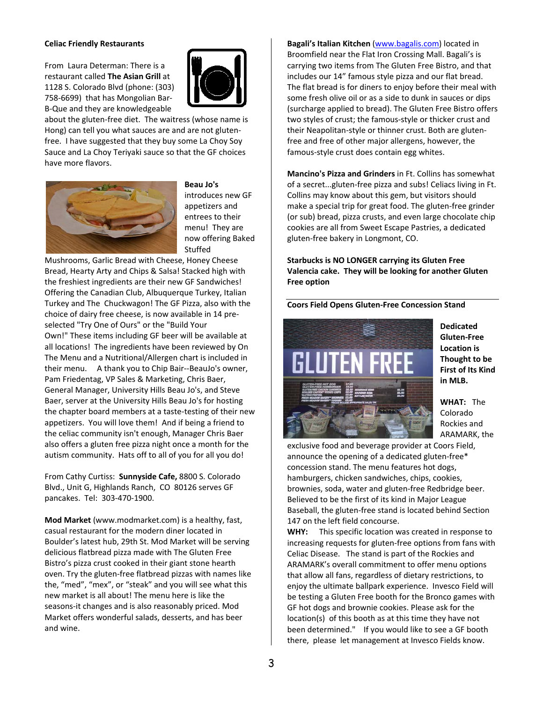#### **Celiac Friendly Restaurants**

From Laura Determan: There is a restaurant called **The Asian Grill** at 1128 S. Colorado Blvd (phone: (303) 758‐6699) that has Mongolian Bar‐ B‐Que and they are knowledgeable



about the gluten‐free diet. The waitress (whose name is Hong) can tell you what sauces are and are not gluten‐ free. I have suggested that they buy some La Choy Soy Sauce and La Choy Teriyaki sauce so that the GF choices have more flavors.



**Beau Jo's** introduces new GF appetizers and entrees to their menu! They are now offering Baked Stuffed

Mushrooms, Garlic Bread with Cheese, Honey Cheese Bread, Hearty Arty and Chips & Salsa! Stacked high with the freshiest ingredients are their new GF Sandwiches! Offering the Canadian Club, Albuquerque Turkey, Italian Turkey and The Chuckwagon! The GF Pizza, also with the choice of dairy free cheese, is now available in 14 pre‐ selected "Try One of Ours" or the "Build Your Own!" These items including GF beer will be available at all locations! The ingredients have been reviewed by On The Menu and a Nutritional/Allergen chart is included in their menu. A thank you to Chip Bair‐‐BeauJo's owner, Pam Friedentag, VP Sales & Marketing, Chris Baer, General Manager, University Hills Beau Jo's, and Steve Baer, server at the University Hills Beau Jo's for hosting the chapter board members at a taste‐testing of their new appetizers. You will love them! And if being a friend to the celiac community isn't enough, Manager Chris Baer also offers a gluten free pizza night once a month for the autism community. Hats off to all of you for all you do!

From Cathy Curtiss: **Sunnyside Cafe,** 8800 S. Colorado Blvd., Unit G, Highlands Ranch, CO 80126 serves GF pancakes. Tel: 303‐470‐1900.

**Mod Market** (www.modmarket.com) is a healthy, fast, casual restaurant for the modern diner located in Boulder's latest hub, 29th St. Mod Market will be serving delicious flatbread pizza made with The Gluten Free Bistro's pizza crust cooked in their giant stone hearth oven. Try the gluten‐free flatbread pizzas with names like the, "med", "mex", or "steak" and you will see what this new market is all about! The menu here is like the seasons‐it changes and is also reasonably priced. Mod Market offers wonderful salads, desserts, and has beer and wine.

**Bagali's Italian Kitchen** (www.bagalis.com) located in Broomfield near the Flat Iron Crossing Mall. Bagali's is carrying two items from The Gluten Free Bistro, and that includes our 14" famous style pizza and our flat bread. The flat bread is for diners to enjoy before their meal with some fresh olive oil or as a side to dunk in sauces or dips (surcharge applied to bread). The Gluten Free Bistro offers two styles of crust; the famous‐style or thicker crust and their Neapolitan‐style or thinner crust. Both are gluten‐ free and free of other major allergens, however, the famous‐style crust does contain egg whites.

**Mancino's Pizza and Grinders** in Ft. Collins has somewhat of a secret...gluten‐free pizza and subs! Celiacs living in Ft. Collins may know about this gem, but visitors should make a special trip for great food. The gluten‐free grinder (or sub) bread, pizza crusts, and even large chocolate chip cookies are all from Sweet Escape Pastries, a dedicated gluten‐free bakery in Longmont, CO.

**Starbucks is NO LONGER carrying its Gluten Free Valencia cake. They will be looking for another Gluten Free option**

#### **Coors Field Opens Gluten‐Free Concession Stand**



**Dedicated Gluten‐Free Location is Thought to be First of Its Kind in MLB.** 

**WHAT:** The Colorado Rockies and ARAMARK, the

exclusive food and beverage provider at Coors Field, announce the opening of a dedicated gluten‐free\* concession stand. The menu features hot dogs, hamburgers, chicken sandwiches, chips, cookies, brownies, soda, water and gluten‐free Redbridge beer. Believed to be the first of its kind in Major League Baseball, the gluten‐free stand is located behind Section 147 on the left field concourse.

**WHY:** This specific location was created in response to increasing requests for gluten‐free options from fans with Celiac Disease. The stand is part of the Rockies and ARAMARK's overall commitment to offer menu options that allow all fans, regardless of dietary restrictions, to enjoy the ultimate ballpark experience. Invesco Field will be testing a Gluten Free booth for the Bronco games with GF hot dogs and brownie cookies. Please ask for the location(s) of this booth as at this time they have not been determined." If you would like to see a GF booth there, please let management at Invesco Fields know.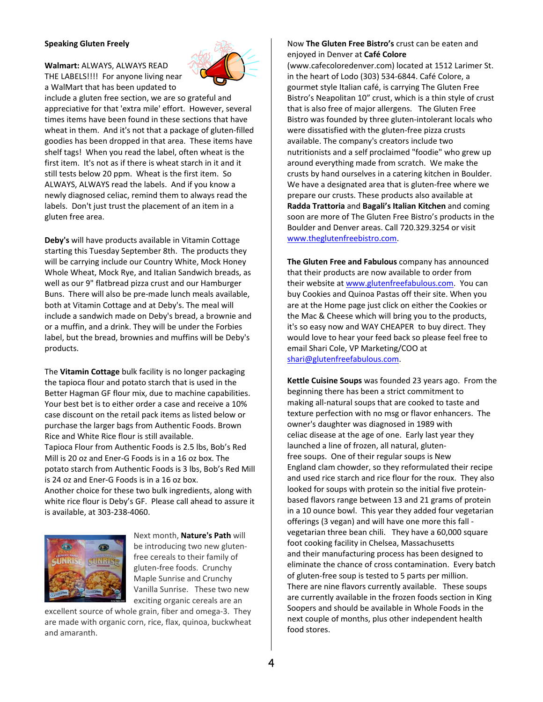#### **Speaking Gluten Freely**

**Walmart:** ALWAYS, ALWAYS READ THE LABELS!!!! For anyone living near a WalMart that has been updated to



include a gluten free section, we are so grateful and appreciative for that 'extra mile' effort. However, several times items have been found in these sections that have wheat in them. And it's not that a package of gluten‐filled goodies has been dropped in that area. These items have shelf tags! When you read the label, often wheat is the first item. It's not as if there is wheat starch in it and it still tests below 20 ppm. Wheat is the first item. So ALWAYS, ALWAYS read the labels. And if you know a newly diagnosed celiac, remind them to always read the labels. Don't just trust the placement of an item in a gluten free area.

**Deby's** will have products available in Vitamin Cottage starting this Tuesday September 8th. The products they will be carrying include our Country White, Mock Honey Whole Wheat, Mock Rye, and Italian Sandwich breads, as well as our 9" flatbread pizza crust and our Hamburger Buns. There will also be pre‐made lunch meals available, both at Vitamin Cottage and at Deby's. The meal will include a sandwich made on Deby's bread, a brownie and or a muffin, and a drink. They will be under the Forbies label, but the bread, brownies and muffins will be Deby's products.

The **Vitamin Cottage** bulk facility is no longer packaging the tapioca flour and potato starch that is used in the Better Hagman GF flour mix, due to machine capabilities. Your best bet is to either order a case and receive a 10% case discount on the retail pack items as listed below or purchase the larger bags from Authentic Foods. Brown Rice and White Rice flour is still available. Tapioca Flour from Authentic Foods is 2.5 lbs, Bob's Red Mill is 20 oz and Ener‐G Foods is in a 16 oz box. The potato starch from Authentic Foods is 3 lbs, Bob's Red Mill is 24 oz and Ener‐G Foods is in a 16 oz box. Another choice for these two bulk ingredients, along with white rice flour is Deby's GF. Please call ahead to assure it is available, at 303‐238‐4060.



Next month, **Nature's Path** will be introducing two new glutenfree cereals to their family of gluten‐free foods. Crunchy Maple Sunrise and Crunchy Vanilla Sunrise. These two new exciting organic cereals are an

excellent source of whole grain, fiber and omega‐3. They are made with organic corn, rice, flax, quinoa, buckwheat and amaranth.

## Now **The Gluten Free Bistro's** crust can be eaten and enjoyed in Denver at **Café Colore**

(www.cafecoloredenver.com) located at 1512 Larimer St. in the heart of Lodo (303) 534‐6844. Café Colore, a gourmet style Italian café, is carrying The Gluten Free Bistro's Neapolitan 10" crust, which is a thin style of crust that is also free of major allergens. The Gluten Free Bistro was founded by three gluten‐intolerant locals who were dissatisfied with the gluten‐free pizza crusts available. The company's creators include two nutritionists and a self proclaimed "foodie" who grew up around everything made from scratch. We make the crusts by hand ourselves in a catering kitchen in Boulder. We have a designated area that is gluten-free where we prepare our crusts. These products also available at **Radda Trattoria** and **Bagali's Italian Kitchen** and coming soon are more of The Gluten Free Bistro's products in the Boulder and Denver areas. Call 720.329.3254 or visit www.theglutenfreebistro.com.

**The Gluten Free and Fabulous** company has announced that their products are now available to order from their website at www.glutenfreefabulous.com. You can buy Cookies and Quinoa Pastas off their site. When you are at the Home page just click on either the Cookies or the Mac & Cheese which will bring you to the products, it's so easy now and WAY CHEAPER to buy direct. They would love to hear your feed back so please feel free to email Shari Cole, VP Marketing/COO at shari@glutenfreefabulous.com.

**Kettle Cuisine Soups** was founded 23 years ago. From the beginning there has been a strict commitment to making all‐natural soups that are cooked to taste and texture perfection with no msg or flavor enhancers. The owner's daughter was diagnosed in 1989 with celiac disease at the age of one. Early last year they launched a line of frozen, all natural, gluten‐ free soups. One of their regular soups is New England clam chowder, so they reformulated their recipe and used rice starch and rice flour for the roux. They also looked for soups with protein so the initial five protein‐ based flavors range between 13 and 21 grams of protein in a 10 ounce bowl. This year they added four vegetarian offerings (3 vegan) and will have one more this fall ‐ vegetarian three bean chili. They have a 60,000 square foot cooking facility in Chelsea, Massachusetts and their manufacturing process has been designed to eliminate the chance of cross contamination. Every batch of gluten‐free soup is tested to 5 parts per million. There are nine flavors currently available. These soups are currently available in the frozen foods section in King Soopers and should be available in Whole Foods in the next couple of months, plus other independent health food stores.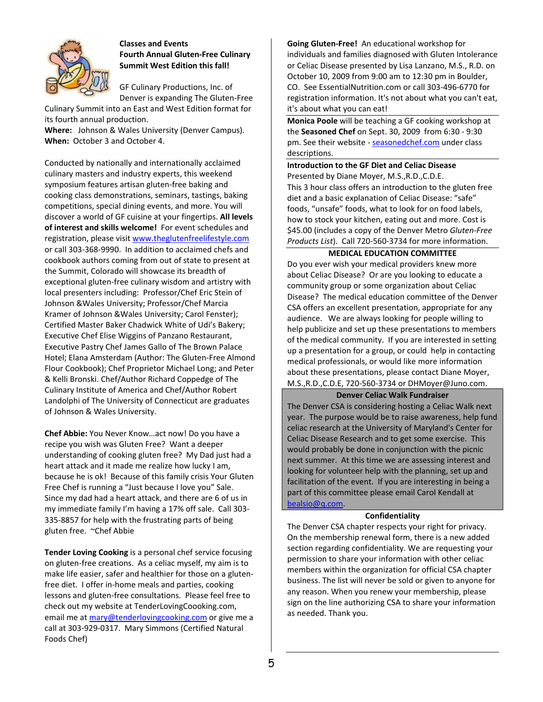

# **Classes and Events Fourth Annual Gluten‐Free Culinary Summit West Edition this fall!**

GF Culinary Productions, Inc. of Denver is expanding The Gluten‐Free

Culinary Summit into an East and West Edition format for its fourth annual production.

**Where:** Johnson & Wales University (Denver Campus). **When:** October 3 and October 4.

Conducted by nationally and internationally acclaimed culinary masters and industry experts, this weekend symposium features artisan gluten‐free baking and cooking class demonstrations, seminars, tastings, baking competitions, special dining events, and more. You will discover a world of GF cuisine at your fingertips. **All levels of interest and skills welcome!** For event schedules and registration, please visit www.theglutenfreelifestyle.com or call 303‐368‐9990. In addition to acclaimed chefs and cookbook authors coming from out of state to present at the Summit, Colorado will showcase its breadth of exceptional gluten‐free culinary wisdom and artistry with local presenters including: Professor/Chef Eric Stein of Johnson &Wales University; Professor/Chef Marcia Kramer of Johnson &Wales University; Carol Fenster); Certified Master Baker Chadwick White of Udi's Bakery; Executive Chef Elise Wiggins of Panzano Restaurant, Executive Pastry Chef James Gallo of The Brown Palace Hotel; Elana Amsterdam (Author: The Gluten‐Free Almond Flour Cookbook); Chef Proprietor Michael Long; and Peter & Kelli Bronski. Chef/Author Richard Coppedge of The Culinary Institute of America and Chef/Author Robert Landolphi of The University of Connecticut are graduates of Johnson & Wales University.

**Chef Abbie:** You Never Know…act now! Do you have a recipe you wish was Gluten Free? Want a deeper understanding of cooking gluten free? My Dad just had a heart attack and it made me realize how lucky I am, because he is ok! Because of this family crisis Your Gluten Free Chef is running a "Just because I love you" Sale. Since my dad had a heart attack, and there are 6 of us in my immediate family I'm having a 17% off sale. Call 303‐ 335‐8857 for help with the frustrating parts of being gluten free. ~Chef Abbie

**Tender Loving Cooking** is a personal chef service focusing on gluten‐free creations. As a celiac myself, my aim is to make life easier, safer and healthier for those on a gluten‐ free diet. I offer in-home meals and parties, cooking lessons and gluten‐free consultations. Please feel free to check out my website at TenderLovingCoooking.com, email me at mary@tenderlovingcooking.com or give me a call at 303‐929‐0317. Mary Simmons (Certified Natural Foods Chef)

**Going Gluten‐Free!** An educational workshop for individuals and families diagnosed with Gluten Intolerance or Celiac Disease presented by Lisa Lanzano, M.S., R.D. on October 10, 2009 from 9:00 am to 12:30 pm in Boulder, CO. See EssentialNutrition.com or call 303‐496‐6770 for registration information. It's not about what you can't eat, it's about what you can eat!

**Monica Poole** will be teaching a GF cooking workshop at the **Seasoned Chef** on Sept. 30, 2009 from 6:30 ‐ 9:30 pm. See their website ‐ seasonedchef.com under class descriptions.

## **Introduction to the GF Diet and Celiac Disease**

Presented by Diane Moyer, M.S.,R.D.,C.D.E. This 3 hour class offers an introduction to the gluten free diet and a basic explanation of Celiac Disease: "safe" foods, "unsafe" foods, what to look for on food labels, how to stock your kitchen, eating out and more. Cost is \$45.00 (includes a copy of the Denver Metro *Gluten‐Free Products List*). Call 720‐560‐3734 for more information.

## **MEDICAL EDUCATION COMMITTEE**

Do you ever wish your medical providers knew more about Celiac Disease? Or are you looking to educate a community group or some organization about Celiac Disease? The medical education committee of the Denver CSA offers an excellent presentation, appropriate for any audience. We are always looking for people willing to help publicize and set up these presentations to members of the medical community. If you are interested in setting up a presentation for a group, or could help in contacting medical professionals, or would like more information about these presentations, please contact Diane Moyer, M.S.,R.D.,C.D.E, 720‐560‐3734 or DHMoyer@Juno.com.

#### **Denver Celiac Walk Fundraiser**

The Denver CSA is considering hosting a Celiac Walk next year. The purpose would be to raise awareness, help fund celiac research at the University of Maryland's Center for Celiac Disease Research and to get some exercise. This would probably be done in conjunction with the picnic next summer. At this time we are assessing interest and looking for volunteer help with the planning, set up and facilitation of the event. If you are interesting in being a part of this committee please email Carol Kendall at bealsio@q.com.

#### **Confidentiality**

The Denver CSA chapter respects your right for privacy. On the membership renewal form, there is a new added section regarding confidentiality. We are requesting your permission to share your information with other celiac members within the organization for official CSA chapter business. The list will never be sold or given to anyone for any reason. When you renew your membership, please sign on the line authorizing CSA to share your information as needed. Thank you.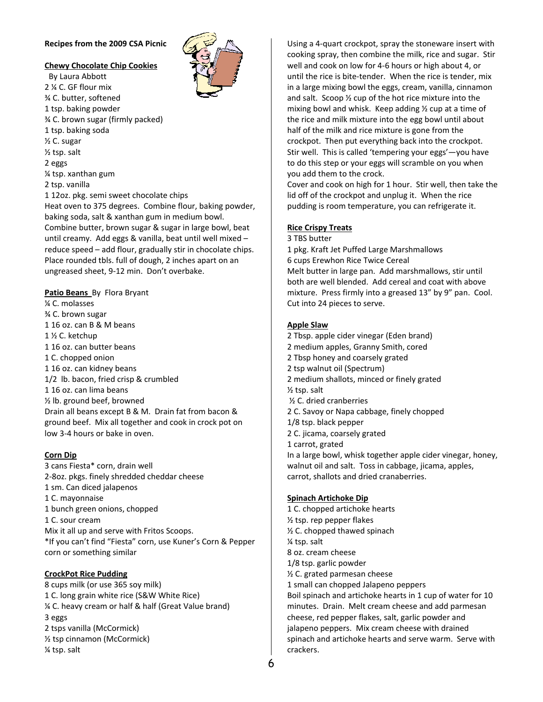## **Recipes from the 2009 CSA Picnic**

# **Chewy Chocolate Chip Cookies**

 By Laura Abbott 2 ¼ C. GF flour mix ¾ C. butter, softened 1 tsp. baking powder ¾ C. brown sugar (firmly packed) 1 tsp. baking soda ½ C. sugar ½ tsp. salt 2 eggs ¼ tsp. xanthan gum 2 tsp. vanilla 1 12oz. pkg. semi sweet chocolate chips Heat oven to 375 degrees. Combine flour, baking powder, baking soda, salt & xanthan gum in medium bowl. Combine butter, brown sugar & sugar in large bowl, beat until creamy. Add eggs & vanilla, beat until well mixed – reduce speed – add flour, gradually stir in chocolate chips. Place rounded tbls. full of dough, 2 inches apart on an ungreased sheet, 9‐12 min. Don't overbake.

# **Patio Beans** By Flora Bryant

¼ C. molasses ¾ C. brown sugar 1 16 oz. can B & M beans 1 ½ C. ketchup 1 16 oz. can butter beans 1 C. chopped onion 1 16 oz. can kidney beans 1/2 lb. bacon, fried crisp & crumbled 1 16 oz. can lima beans ½ lb. ground beef, browned Drain all beans except B & M. Drain fat from bacon & ground beef. Mix all together and cook in crock pot on low 3‐4 hours or bake in oven.

# **Corn Dip**

3 cans Fiesta\* corn, drain well 2‐8oz. pkgs. finely shredded cheddar cheese 1 sm. Can diced jalapenos 1 C. mayonnaise 1 bunch green onions, chopped 1 C. sour cream Mix it all up and serve with Fritos Scoops. \*If you can't find "Fiesta" corn, use Kuner's Corn & Pepper corn or something similar

# **CrockPot Rice Pudding**

8 cups milk (or use 365 soy milk) 1 C. long grain white rice (S&W White Rice) ¼ C. heavy cream or half & half (Great Value brand) 3 eggs 2 tsps vanilla (McCormick) ½ tsp cinnamon (McCormick) ¼ tsp. salt

Using a 4‐quart crockpot, spray the stoneware insert with cooking spray, then combine the milk, rice and sugar. Stir well and cook on low for 4‐6 hours or high about 4, or until the rice is bite‐tender. When the rice is tender, mix in a large mixing bowl the eggs, cream, vanilla, cinnamon and salt. Scoop ½ cup of the hot rice mixture into the mixing bowl and whisk. Keep adding ½ cup at a time of the rice and milk mixture into the egg bowl until about half of the milk and rice mixture is gone from the crockpot. Then put everything back into the crockpot. Stir well. This is called 'tempering your eggs'—you have to do this step or your eggs will scramble on you when you add them to the crock.

Cover and cook on high for 1 hour. Stir well, then take the lid off of the crockpot and unplug it. When the rice pudding is room temperature, you can refrigerate it.

## **Rice Crispy Treats**

#### 3 TBS butter

1 pkg. Kraft Jet Puffed Large Marshmallows 6 cups Erewhon Rice Twice Cereal Melt butter in large pan. Add marshmallows, stir until both are well blended. Add cereal and coat with above mixture. Press firmly into a greased 13" by 9" pan. Cool. Cut into 24 pieces to serve.

## **Apple Slaw**

2 Tbsp. apple cider vinegar (Eden brand) 2 medium apples, Granny Smith, cored 2 Tbsp honey and coarsely grated 2 tsp walnut oil (Spectrum) 2 medium shallots, minced or finely grated ½ tsp. salt ½ C. dried cranberries 2 C. Savoy or Napa cabbage, finely chopped 1/8 tsp. black pepper 2 C. jicama, coarsely grated 1 carrot, grated In a large bowl, whisk together apple cider vinegar, honey, walnut oil and salt. Toss in cabbage, jicama, apples, carrot, shallots and dried cranaberries.

#### **Spinach Artichoke Dip**

1 C. chopped artichoke hearts ½ tsp. rep pepper flakes ½ C. chopped thawed spinach ¼ tsp. salt 8 oz. cream cheese 1/8 tsp. garlic powder ½ C. grated parmesan cheese 1 small can chopped Jalapeno peppers Boil spinach and artichoke hearts in 1 cup of water for 10 minutes. Drain. Melt cream cheese and add parmesan cheese, red pepper flakes, salt, garlic powder and jalapeno peppers. Mix cream cheese with drained spinach and artichoke hearts and serve warm. Serve with crackers.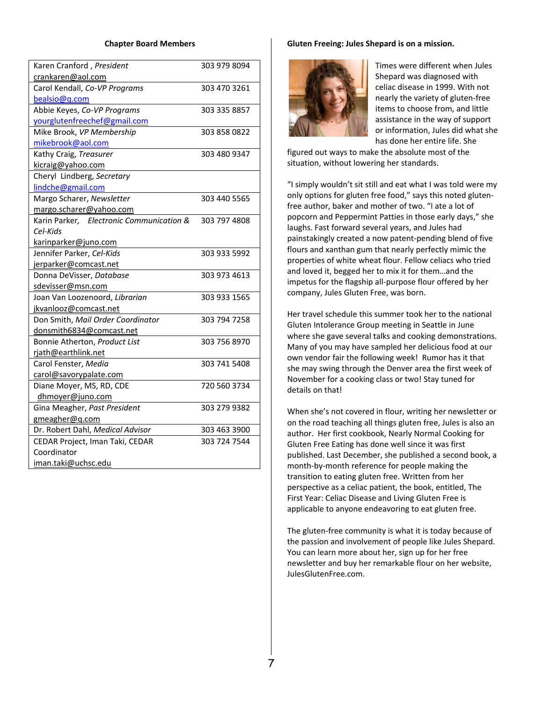#### **Chapter Board Members**

| Karen Cranford, President                                                                                                                                                                                                                                                                                                            | 303 979 8094                                 |
|--------------------------------------------------------------------------------------------------------------------------------------------------------------------------------------------------------------------------------------------------------------------------------------------------------------------------------------|----------------------------------------------|
| crankaren@aol.com                                                                                                                                                                                                                                                                                                                    |                                              |
|                                                                                                                                                                                                                                                                                                                                      |                                              |
| Carol Kendall, Co-VP Programs                                                                                                                                                                                                                                                                                                        | 303 470 3261                                 |
| bealsio@q.com                                                                                                                                                                                                                                                                                                                        |                                              |
| Abbie Keyes, Co-VP Programs                                                                                                                                                                                                                                                                                                          | 303 335 8857                                 |
| yourglutenfreechef@gmail.com                                                                                                                                                                                                                                                                                                         |                                              |
| Mike Brook, VP Membership                                                                                                                                                                                                                                                                                                            | 303 858 0822                                 |
| mikebrook@aol.com                                                                                                                                                                                                                                                                                                                    |                                              |
| Kathy Craig, Treasurer                                                                                                                                                                                                                                                                                                               | 303 480 9347                                 |
| kicraig@yahoo.com                                                                                                                                                                                                                                                                                                                    |                                              |
| Cheryl Lindberg, Secretary                                                                                                                                                                                                                                                                                                           |                                              |
| lindche@gmail.com                                                                                                                                                                                                                                                                                                                    |                                              |
| Margo Scharer, Newsletter                                                                                                                                                                                                                                                                                                            | 303 440 5565                                 |
| margo.scharer@yahoo.com                                                                                                                                                                                                                                                                                                              |                                              |
| Karin Parker, Electronic Communication &                                                                                                                                                                                                                                                                                             | 303 797 4808                                 |
| Cel-Kids                                                                                                                                                                                                                                                                                                                             |                                              |
| karinparker@juno.com                                                                                                                                                                                                                                                                                                                 |                                              |
| Jennifer Parker, Cel-Kids                                                                                                                                                                                                                                                                                                            | 303 933 5992                                 |
| jerparker@comcast.net                                                                                                                                                                                                                                                                                                                |                                              |
| Donna DeVisser, Database                                                                                                                                                                                                                                                                                                             | 303 973 4613                                 |
| sdevisser@msn.com                                                                                                                                                                                                                                                                                                                    |                                              |
|                                                                                                                                                                                                                                                                                                                                      | 303 933 1565                                 |
| jkvanlooz@comcast.net                                                                                                                                                                                                                                                                                                                |                                              |
|                                                                                                                                                                                                                                                                                                                                      | 303 794 7258                                 |
| donsmith6834@comcast.net                                                                                                                                                                                                                                                                                                             |                                              |
| Bonnie Atherton, Product List                                                                                                                                                                                                                                                                                                        | 303 756 8970                                 |
|                                                                                                                                                                                                                                                                                                                                      |                                              |
|                                                                                                                                                                                                                                                                                                                                      | 303 741 5408                                 |
|                                                                                                                                                                                                                                                                                                                                      |                                              |
|                                                                                                                                                                                                                                                                                                                                      | 720 560 3734                                 |
|                                                                                                                                                                                                                                                                                                                                      |                                              |
|                                                                                                                                                                                                                                                                                                                                      |                                              |
|                                                                                                                                                                                                                                                                                                                                      |                                              |
|                                                                                                                                                                                                                                                                                                                                      |                                              |
|                                                                                                                                                                                                                                                                                                                                      |                                              |
|                                                                                                                                                                                                                                                                                                                                      |                                              |
|                                                                                                                                                                                                                                                                                                                                      |                                              |
| Joan Van Loozenoord, Librarian<br>Don Smith, Mail Order Coordinator<br>rjath@earthlink.net<br>Carol Fenster, Media<br>carol@savorypalate.com<br>Diane Moyer, MS, RD, CDE<br>dhmoyer@juno.com<br>Gina Meagher, Past President<br>gmeagher@q.com<br>Dr. Robert Dahl, Medical Advisor<br>CEDAR Project, Iman Taki, CEDAR<br>Coordinator | 303 279 9382<br>303 463 3900<br>303 724 7544 |

#### **Gluten Freeing: Jules Shepard is on a mission.**



Times were different when Jules Shepard was diagnosed with celiac disease in 1999. With not nearly the variety of gluten‐free items to choose from, and little assistance in the way of support or information, Jules did what she has done her entire life. She

figured out ways to make the absolute most of the situation, without lowering her standards.

"I simply wouldn't sit still and eat what I was told were my only options for gluten free food," says this noted gluten‐ free author, baker and mother of two. "I ate a lot of popcorn and Peppermint Patties in those early days," she laughs. Fast forward several years, and Jules had painstakingly created a now patent‐pending blend of five flours and xanthan gum that nearly perfectly mimic the properties of white wheat flour. Fellow celiacs who tried and loved it, begged her to mix it for them…and the impetus for the flagship all‐purpose flour offered by her company, Jules Gluten Free, was born.

Her travel schedule this summer took her to the national Gluten Intolerance Group meeting in Seattle in June where she gave several talks and cooking demonstrations. Many of you may have sampled her delicious food at our own vendor fair the following week! Rumor has it that she may swing through the Denver area the first week of November for a cooking class or two! Stay tuned for details on that!

When she's not covered in flour, writing her newsletter or on the road teaching all things gluten free, Jules is also an author. Her first cookbook, Nearly Normal Cooking for Gluten Free Eating has done well since it was first published. Last December, she published a second book, a month‐by‐month reference for people making the transition to eating gluten free. Written from her perspective as a celiac patient, the book, entitled, The First Year: Celiac Disease and Living Gluten Free is applicable to anyone endeavoring to eat gluten free.

The gluten‐free community is what it is today because of the passion and involvement of people like Jules Shepard. You can learn more about her, sign up for her free newsletter and buy her remarkable flour on her website, JulesGlutenFree.com.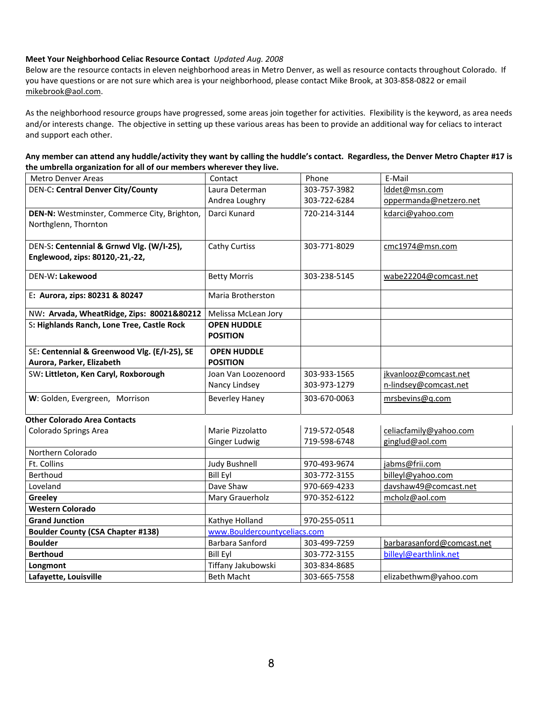# **Meet Your Neighborhood Celiac Resource Contact** *Updated Aug. 2008*

Below are the resource contacts in eleven neighborhood areas in Metro Denver, as well as resource contacts throughout Colorado. If you have questions or are not sure which area is your neighborhood, please contact Mike Brook, at 303‐858‐0822 or email mikebrook@aol.com.

As the neighborhood resource groups have progressed, some areas join together for activities. Flexibility is the keyword, as area needs and/or interests change. The objective in setting up these various areas has been to provide an additional way for celiacs to interact and support each other.

| Any member can attend any huddle/activity they want by calling the huddle's contact. Regardless, the Denver Metro Chapter #17 is |  |
|----------------------------------------------------------------------------------------------------------------------------------|--|
| the umbrella organization for all of our members wherever they live.                                                             |  |

| <b>Metro Denver Areas</b>                                    | Contact                      | Phone        | E-Mail                     |
|--------------------------------------------------------------|------------------------------|--------------|----------------------------|
| <b>DEN-C: Central Denver City/County</b>                     | Laura Determan               | 303-757-3982 | lddet@msn.com              |
|                                                              | Andrea Loughry               | 303-722-6284 | oppermanda@netzero.net     |
| DEN-N: Westminster, Commerce City, Brighton,                 | Darci Kunard                 | 720-214-3144 | kdarci@yahoo.com           |
| Northglenn, Thornton                                         |                              |              |                            |
|                                                              |                              |              |                            |
| DEN-S: Centennial & Grnwd Vlg. (W/I-25),                     | <b>Cathy Curtiss</b>         | 303-771-8029 | cmc1974@msn.com            |
| Englewood, zips: 80120,-21,-22,                              |                              |              |                            |
| DEN-W: Lakewood                                              | <b>Betty Morris</b>          | 303-238-5145 | wabe22204@comcast.net      |
|                                                              |                              |              |                            |
| E: Aurora, zips: 80231 & 80247                               | Maria Brotherston            |              |                            |
| NW: Arvada, WheatRidge, Zips: 80021&80212                    | Melissa McLean Jory          |              |                            |
| S: Highlands Ranch, Lone Tree, Castle Rock                   | <b>OPEN HUDDLE</b>           |              |                            |
|                                                              | <b>POSITION</b>              |              |                            |
| SE: Centennial & Greenwood Vlg. (E/I-25), SE                 | <b>OPEN HUDDLE</b>           |              |                            |
| Aurora, Parker, Elizabeth                                    | <b>POSITION</b>              |              |                            |
| SW: Littleton, Ken Caryl, Roxborough                         | Joan Van Loozenoord          | 303-933-1565 | jkvanlooz@comcast.net      |
|                                                              | Nancy Lindsey                | 303-973-1279 | n-lindsey@comcast.net      |
| W: Golden, Evergreen, Morrison                               | <b>Beverley Haney</b>        | 303-670-0063 | mrsbevins@q.com            |
|                                                              |                              |              |                            |
| <b>Other Colorado Area Contacts</b><br>Colorado Springs Area | Marie Pizzolatto             | 719-572-0548 | celiacfamily@yahoo.com     |
|                                                              | <b>Ginger Ludwig</b>         | 719-598-6748 | ginglud@aol.com            |
| Northern Colorado                                            |                              |              |                            |
| Ft. Collins                                                  | <b>Judy Bushnell</b>         | 970-493-9674 | jabms@frii.com             |
| Berthoud                                                     | <b>Bill Eyl</b>              | 303-772-3155 | billeyl@yahoo.com          |
| Loveland                                                     | Dave Shaw                    | 970-669-4233 | davshaw49@comcast.net      |
| Greeley                                                      | Mary Grauerholz              | 970-352-6122 | mcholz@aol.com             |
| <b>Western Colorado</b>                                      |                              |              |                            |
| <b>Grand Junction</b>                                        | Kathye Holland               | 970-255-0511 |                            |
| <b>Boulder County (CSA Chapter #138)</b>                     | www.Bouldercountyceliacs.com |              |                            |
| <b>Boulder</b>                                               | Barbara Sanford              | 303-499-7259 | barbarasanford@comcast.net |
| <b>Berthoud</b>                                              | <b>Bill Eyl</b>              | 303-772-3155 | billeyl@earthlink.net      |
| Longmont                                                     | Tiffany Jakubowski           | 303-834-8685 |                            |
| Lafayette, Louisville                                        | <b>Beth Macht</b>            | 303-665-7558 | elizabethwm@yahoo.com      |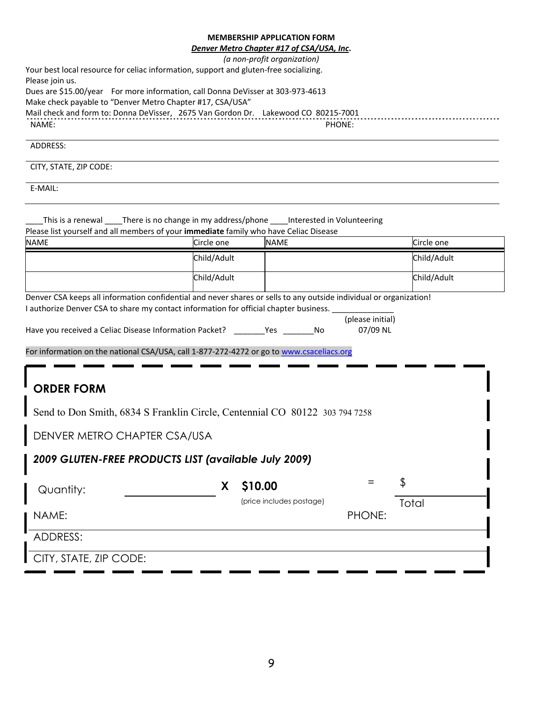# **MEMBERSHIP APPLICATION FORM**

|                                                                                                                    |             | <b>IVILIVIDENSHIP APPLICATION FONIVI</b>  |                              |             |
|--------------------------------------------------------------------------------------------------------------------|-------------|-------------------------------------------|------------------------------|-------------|
|                                                                                                                    |             | Denver Metro Chapter #17 of CSA/USA, Inc. |                              |             |
|                                                                                                                    |             | (a non-profit organization)               |                              |             |
| Your best local resource for celiac information, support and gluten-free socializing.                              |             |                                           |                              |             |
| Please join us.<br>Dues are \$15.00/year For more information, call Donna DeVisser at 303-973-4613                 |             |                                           |                              |             |
| Make check payable to "Denver Metro Chapter #17, CSA/USA"                                                          |             |                                           |                              |             |
| Mail check and form to: Donna DeVisser, 2675 Van Gordon Dr. Lakewood CO 80215-7001<br>NAME:                        |             |                                           | PHONE:                       |             |
| ADDRESS:                                                                                                           |             |                                           |                              |             |
| CITY, STATE, ZIP CODE:                                                                                             |             |                                           |                              |             |
| E-MAIL:                                                                                                            |             |                                           |                              |             |
|                                                                                                                    |             |                                           |                              |             |
| This is a renewal _____There is no change in my address/phone _____Interested in Volunteering                      |             |                                           |                              |             |
| Please list yourself and all members of your immediate family who have Celiac Disease                              |             |                                           |                              |             |
| <b>NAME</b>                                                                                                        | Circle one  | <b>NAME</b>                               |                              | Circle one  |
|                                                                                                                    | Child/Adult |                                           |                              | Child/Adult |
|                                                                                                                    | Child/Adult |                                           |                              | Child/Adult |
| Denver CSA keeps all information confidential and never shares or sells to any outside individual or organization! |             |                                           |                              |             |
| I authorize Denver CSA to share my contact information for official chapter business.                              |             |                                           |                              |             |
| Have you received a Celiac Disease Information Packet? ___________Yes __________                                   |             | No                                        | (please initial)<br>07/09 NL |             |
| For information on the national CSA/USA, call 1-877-272-4272 or go to www.csaceliacs.org                           |             |                                           |                              |             |
|                                                                                                                    |             |                                           |                              |             |
|                                                                                                                    |             |                                           |                              |             |
| <b>ORDER FORM</b>                                                                                                  |             |                                           |                              |             |
| Send to Don Smith, 6834 S Franklin Circle, Centennial CO 80122 303 794 7258                                        |             |                                           |                              |             |
| DENVER METRO CHAPTER CSA/USA                                                                                       |             |                                           |                              |             |
| 2009 GLUTEN-FREE PRODUCTS LIST (available July 2009)                                                               |             |                                           |                              |             |
|                                                                                                                    |             |                                           |                              |             |
| Quantity:                                                                                                          | X.          | \$10.00                                   | $=$                          | \$          |
|                                                                                                                    |             | (price includes postage)                  |                              | Total       |
| NAME:                                                                                                              |             |                                           | PHONE:                       |             |

ADDRESS:

CITY, STATE, ZIP CODE: